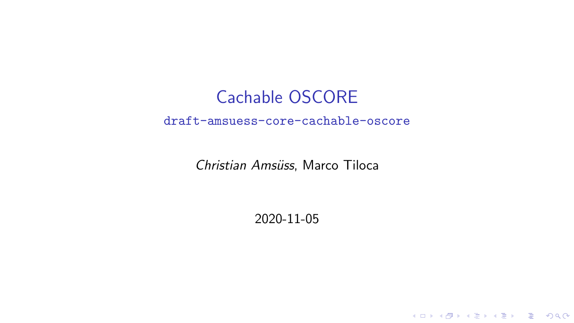## <span id="page-0-0"></span>Cachable OSCORE draft-amsuess-core-cachable-oscore

Christian Amsüss, Marco Tiloca

2020-11-05

K ロ ▶ K @ ▶ K 할 ▶ K 할 ▶ 이 할 → 9 Q Q →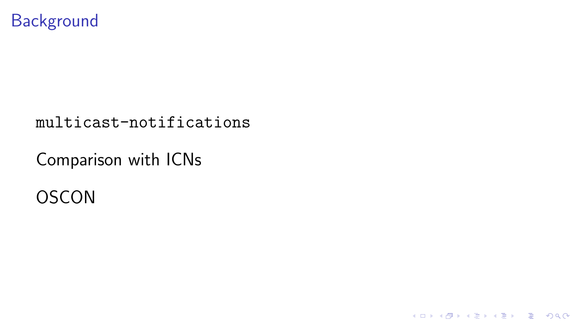### **Background**

#### multicast-notifications

**Kロトメ部トメミトメミト ミニのQC** 

## Comparison with ICNs

## **OSCON**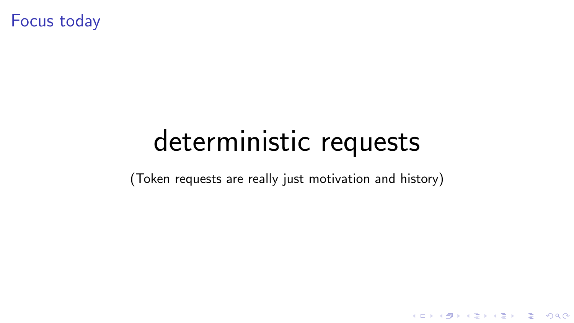Focus today

# deterministic requests

(Token requests are really just motivation and history)

K ロ ▶ K @ ▶ K 할 ▶ K 할 ▶ 이 할 → 9 Q Q →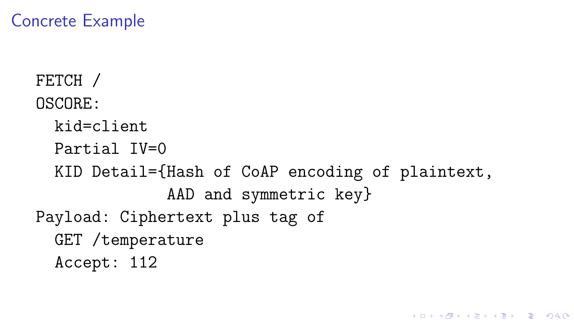### Concrete Example

```
FETCH /
OSCORE:
  kid=client
  Partial IV=0
 KID Detail={Hash of CoAP encoding of plaintext,
              AAD and symmetric key}
Payload: Ciphertext plus tag of
  GET /temperature
 Accept: 112
```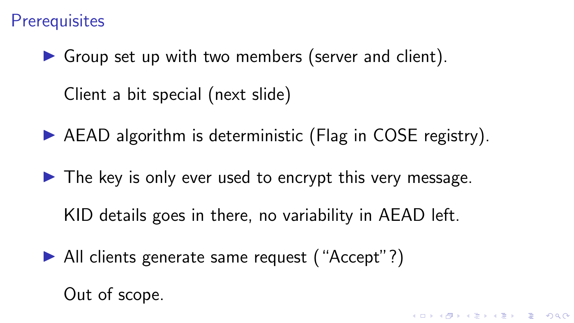### <span id="page-4-0"></span>**Prerequisites**

 $\triangleright$  Group set up with two members (server and client). Client a bit special (next slide)

 $\triangleright$  AEAD algorithm is deterministic (Flag in COSE registry).

 $\blacktriangleright$  The key is only ever used to encrypt this very message.

KID details goes in there, no variability in AEAD left.

▶ All clients generate same request ("Accept"?)

Out of scope.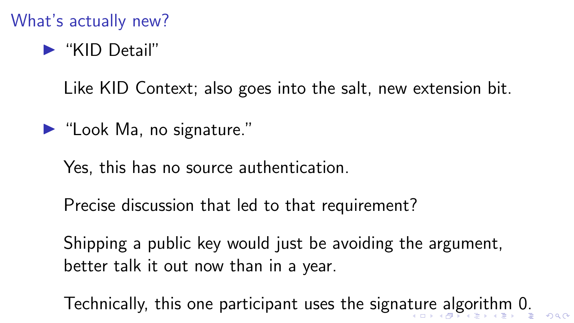## <span id="page-5-0"></span>What's actually new?

# $\blacktriangleright$  "KID Detail"

Like KID Context; also goes into the salt, new extension bit.

- $\blacktriangleright$  "Look Ma, no signature."
	- Yes, this has no source authentication.
	- Precise discussion that led to that requirement?
	- Shipping a public key would just be avoiding the argument, better talk it out now than in a year.

Technically, this one participant uses the signa[tu](#page-4-0)[re](#page-6-0)[al](#page-5-0)[g](#page-6-0)[or](#page-0-0)[it](#page-6-0)[h](#page-0-0)[m](#page-6-0) [0](#page-0-0)[.](#page-6-0)